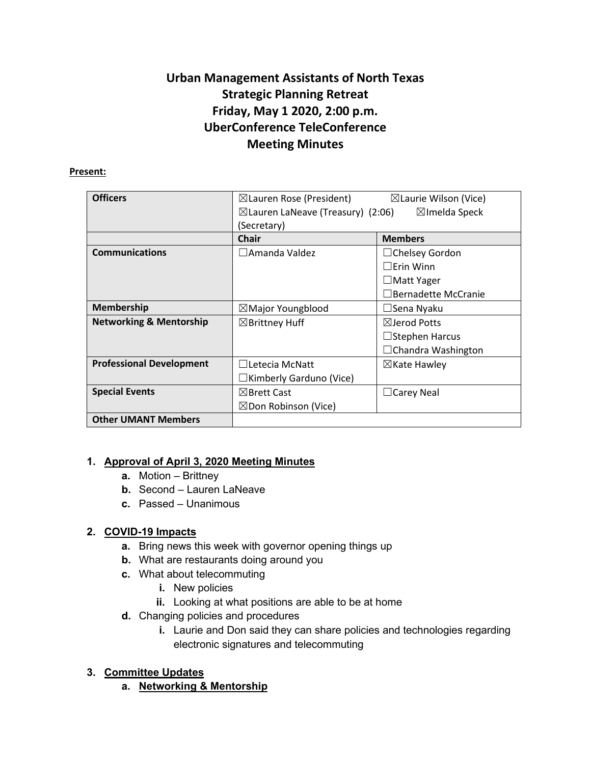# **Urban Management Assistants of North Texas Strategic Planning Retreat Friday, May 1 2020, 2:00 p.m. UberConference TeleConference Meeting Minutes**

#### **Present:**

| <b>Officers</b>                    | $\boxtimes$ Lauren Rose (President)          | $\boxtimes$ Laurie Wilson (Vice) |
|------------------------------------|----------------------------------------------|----------------------------------|
|                                    | $\boxtimes$ Lauren LaNeave (Treasury) (2:06) | $\boxtimes$ Imelda Speck         |
|                                    | (Secretary)                                  |                                  |
|                                    | <b>Chair</b>                                 | <b>Members</b>                   |
| <b>Communications</b>              | $\square$ Amanda Valdez                      | $\Box$ Chelsey Gordon            |
|                                    |                                              | $\Box$ Erin Winn                 |
|                                    |                                              | $\Box$ Matt Yager                |
|                                    |                                              | $\Box$ Bernadette McCranie       |
| <b>Membership</b>                  | $\boxtimes$ Major Youngblood                 | □Sena Nyaku                      |
| <b>Networking &amp; Mentorship</b> | $\boxtimes$ Brittney Huff                    | $\boxtimes$ Jerod Potts          |
|                                    |                                              | $\Box$ Stephen Harcus            |
|                                    |                                              | $\Box$ Chandra Washington        |
| <b>Professional Development</b>    | $\Box$ Letecia McNatt                        | $\boxtimes$ Kate Hawley          |
|                                    | □Kimberly Garduno (Vice)                     |                                  |
| <b>Special Events</b>              | $\boxtimes$ Brett Cast                       | $\Box$ Carey Neal                |
|                                    | $\boxtimes$ Don Robinson (Vice)              |                                  |
| <b>Other UMANT Members</b>         |                                              |                                  |

### **1. Approval of April 3, 2020 Meeting Minutes**

- **a.** Motion Brittney
- **b.** Second Lauren LaNeave
- **c.** Passed Unanimous

# **2. COVID-19 Impacts**

- **a.** Bring news this week with governor opening things up
- **b.** What are restaurants doing around you
- **c.** What about telecommuting
	- **i.** New policies
	- **ii.** Looking at what positions are able to be at home
- **d.** Changing policies and procedures
	- **i.** Laurie and Don said they can share policies and technologies regarding electronic signatures and telecommuting

# **3. Committee Updates**

**a. Networking & Mentorship**